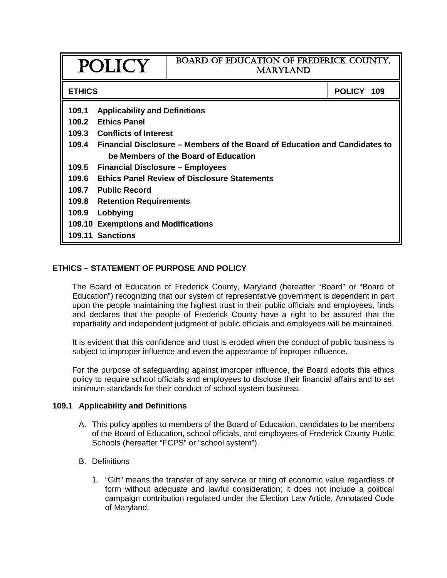|                | POLICY                                                                                                             | BOARD OF EDUCATION OF FREDERICK COUNTY,<br><b>MARYLAND</b> |            |  |  |
|----------------|--------------------------------------------------------------------------------------------------------------------|------------------------------------------------------------|------------|--|--|
| <b>ETHICS</b>  |                                                                                                                    |                                                            | POLICY 109 |  |  |
| 109.1<br>109.2 | <b>Applicability and Definitions</b><br><b>Ethics Panel</b>                                                        |                                                            |            |  |  |
|                | 109.3 Conflicts of Interest                                                                                        |                                                            |            |  |  |
| 109.4          | Financial Disclosure – Members of the Board of Education and Candidates to<br>be Members of the Board of Education |                                                            |            |  |  |
| 109.5          | <b>Financial Disclosure - Employees</b>                                                                            |                                                            |            |  |  |
| 109.6          | <b>Ethics Panel Review of Disclosure Statements</b>                                                                |                                                            |            |  |  |
| 109.7          | <b>Public Record</b>                                                                                               |                                                            |            |  |  |
| 109.8          | <b>Retention Requirements</b>                                                                                      |                                                            |            |  |  |
| 109.9          | Lobbying                                                                                                           |                                                            |            |  |  |
|                | <b>109.10 Exemptions and Modifications</b>                                                                         |                                                            |            |  |  |
|                | 109.11 Sanctions                                                                                                   |                                                            |            |  |  |

# **ETHICS – STATEMENT OF PURPOSE AND POLICY**

The Board of Education of Frederick County, Maryland (hereafter "Board" or "Board of Education") recognizing that our system of representative government is dependent in part upon the people maintaining the highest trust in their public officials and employees, finds and declares that the people of Frederick County have a right to be assured that the impartiality and independent judgment of public officials and employees will be maintained.

It is evident that this confidence and trust is eroded when the conduct of public business is subject to improper influence and even the appearance of improper influence.

For the purpose of safeguarding against improper influence, the Board adopts this ethics policy to require school officials and employees to disclose their financial affairs and to set minimum standards for their conduct of school system business.

## **109.1 Applicability and Definitions**

- A. This policy applies to members of the Board of Education, candidates to be members of the Board of Education, school officials, and employees of Frederick County Public Schools (hereafter "FCPS" or "school system").
- B. Definitions
	- 1. "Gift" means the transfer of any service or thing of economic value regardless of form without adequate and lawful consideration; it does not include a political campaign contribution regulated under the Election Law Article, Annotated Code of Maryland.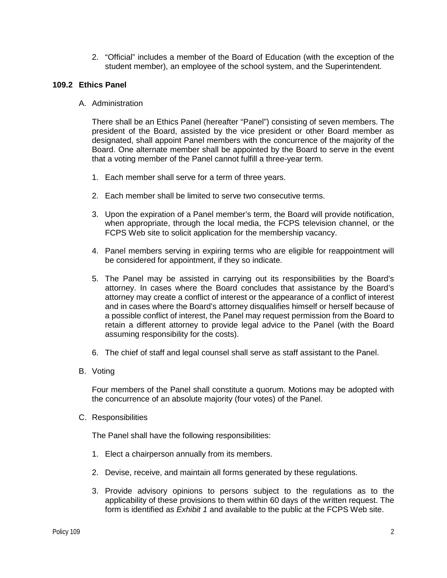2. "Official" includes a member of the Board of Education (with the exception of the student member), an employee of the school system, and the Superintendent.

# **109.2 Ethics Panel**

A. Administration

There shall be an Ethics Panel (hereafter "Panel") consisting of seven members. The president of the Board, assisted by the vice president or other Board member as designated, shall appoint Panel members with the concurrence of the majority of the Board. One alternate member shall be appointed by the Board to serve in the event that a voting member of the Panel cannot fulfill a three-year term.

- 1. Each member shall serve for a term of three years.
- 2. Each member shall be limited to serve two consecutive terms.
- 3. Upon the expiration of a Panel member's term, the Board will provide notification, when appropriate, through the local media, the FCPS television channel, or the FCPS Web site to solicit application for the membership vacancy.
- 4. Panel members serving in expiring terms who are eligible for reappointment will be considered for appointment, if they so indicate.
- 5. The Panel may be assisted in carrying out its responsibilities by the Board's attorney. In cases where the Board concludes that assistance by the Board's attorney may create a conflict of interest or the appearance of a conflict of interest and in cases where the Board's attorney disqualifies himself or herself because of a possible conflict of interest, the Panel may request permission from the Board to retain a different attorney to provide legal advice to the Panel (with the Board assuming responsibility for the costs).
- 6. The chief of staff and legal counsel shall serve as staff assistant to the Panel.
- B. Voting

Four members of the Panel shall constitute a quorum. Motions may be adopted with the concurrence of an absolute majority (four votes) of the Panel.

C. Responsibilities

The Panel shall have the following responsibilities:

- 1. Elect a chairperson annually from its members.
- 2. Devise, receive, and maintain all forms generated by these regulations.
- 3. Provide advisory opinions to persons subject to the regulations as to the applicability of these provisions to them within 60 days of the written request. The form is identified as *Exhibit 1* and available to the public at the FCPS Web site.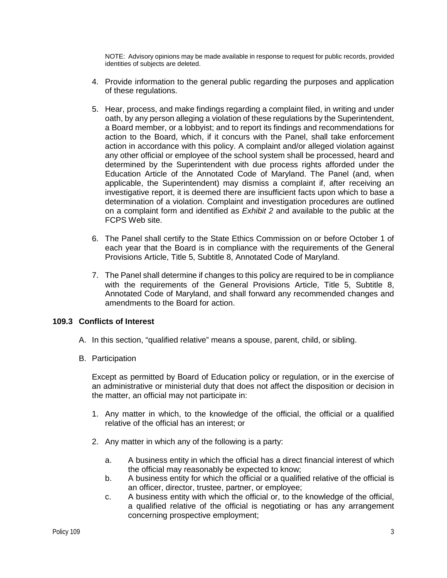NOTE: Advisory opinions may be made available in response to request for public records, provided identities of subjects are deleted.

- 4. Provide information to the general public regarding the purposes and application of these regulations.
- 5. Hear, process, and make findings regarding a complaint filed, in writing and under oath, by any person alleging a violation of these regulations by the Superintendent, a Board member, or a lobbyist; and to report its findings and recommendations for action to the Board, which, if it concurs with the Panel, shall take enforcement action in accordance with this policy. A complaint and/or alleged violation against any other official or employee of the school system shall be processed, heard and determined by the Superintendent with due process rights afforded under the Education Article of the Annotated Code of Maryland. The Panel (and, when applicable, the Superintendent) may dismiss a complaint if, after receiving an investigative report, it is deemed there are insufficient facts upon which to base a determination of a violation. Complaint and investigation procedures are outlined on a complaint form and identified as *Exhibit 2* and available to the public at the FCPS Web site.
- 6. The Panel shall certify to the State Ethics Commission on or before October 1 of each year that the Board is in compliance with the requirements of the General Provisions Article, Title 5, Subtitle 8, Annotated Code of Maryland.
- 7. The Panel shall determine if changes to this policy are required to be in compliance with the requirements of the General Provisions Article, Title 5, Subtitle 8, Annotated Code of Maryland, and shall forward any recommended changes and amendments to the Board for action.

# **109.3 Conflicts of Interest**

- A. In this section, "qualified relative" means a spouse, parent, child, or sibling.
- B. Participation

Except as permitted by Board of Education policy or regulation, or in the exercise of an administrative or ministerial duty that does not affect the disposition or decision in the matter, an official may not participate in:

- 1. Any matter in which, to the knowledge of the official, the official or a qualified relative of the official has an interest; or
- 2. Any matter in which any of the following is a party:
	- a. A business entity in which the official has a direct financial interest of which the official may reasonably be expected to know;
	- b. A business entity for which the official or a qualified relative of the official is an officer, director, trustee, partner, or employee;
	- c. A business entity with which the official or, to the knowledge of the official, a qualified relative of the official is negotiating or has any arrangement concerning prospective employment;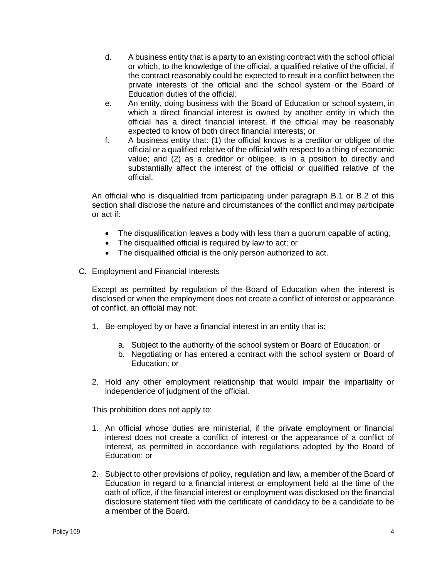- d. A business entity that is a party to an existing contract with the school official or which, to the knowledge of the official, a qualified relative of the official, if the contract reasonably could be expected to result in a conflict between the private interests of the official and the school system or the Board of Education duties of the official;
- e. An entity, doing business with the Board of Education or school system, in which a direct financial interest is owned by another entity in which the official has a direct financial interest, if the official may be reasonably expected to know of both direct financial interests; or
- f. A business entity that: (1) the official knows is a creditor or obligee of the official or a qualified relative of the official with respect to a thing of economic value; and (2) as a creditor or obligee, is in a position to directly and substantially affect the interest of the official or qualified relative of the official.

An official who is disqualified from participating under paragraph B.1 or B.2 of this section shall disclose the nature and circumstances of the conflict and may participate or act if:

- The disqualification leaves a body with less than a quorum capable of acting;
- The disqualified official is required by law to act; or
- The disqualified official is the only person authorized to act.
- C. Employment and Financial Interests

Except as permitted by regulation of the Board of Education when the interest is disclosed or when the employment does not create a conflict of interest or appearance of conflict, an official may not:

- 1. Be employed by or have a financial interest in an entity that is:
	- a. Subject to the authority of the school system or Board of Education; or
	- b. Negotiating or has entered a contract with the school system or Board of Education; or
- 2. Hold any other employment relationship that would impair the impartiality or independence of judgment of the official.

This prohibition does not apply to:

- 1. An official whose duties are ministerial, if the private employment or financial interest does not create a conflict of interest or the appearance of a conflict of interest, as permitted in accordance with regulations adopted by the Board of Education; or
- 2. Subject to other provisions of policy, regulation and law, a member of the Board of Education in regard to a financial interest or employment held at the time of the oath of office, if the financial interest or employment was disclosed on the financial disclosure statement filed with the certificate of candidacy to be a candidate to be a member of the Board.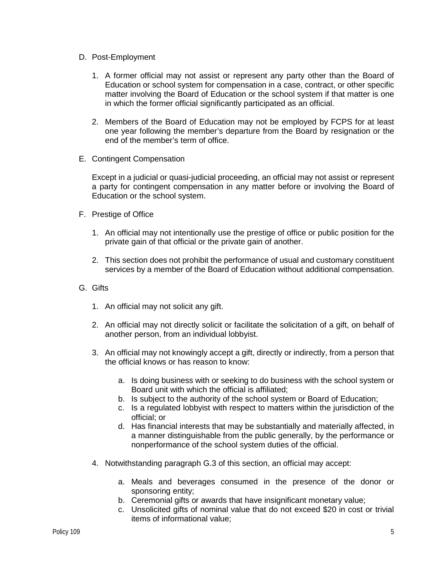- D. Post-Employment
	- 1. A former official may not assist or represent any party other than the Board of Education or school system for compensation in a case, contract, or other specific matter involving the Board of Education or the school system if that matter is one in which the former official significantly participated as an official.
	- 2. Members of the Board of Education may not be employed by FCPS for at least one year following the member's departure from the Board by resignation or the end of the member's term of office.
- E. Contingent Compensation

Except in a judicial or quasi-judicial proceeding, an official may not assist or represent a party for contingent compensation in any matter before or involving the Board of Education or the school system.

- F. Prestige of Office
	- 1. An official may not intentionally use the prestige of office or public position for the private gain of that official or the private gain of another.
	- 2. This section does not prohibit the performance of usual and customary constituent services by a member of the Board of Education without additional compensation.
- G. Gifts
	- 1. An official may not solicit any gift.
	- 2. An official may not directly solicit or facilitate the solicitation of a gift, on behalf of another person, from an individual lobbyist.
	- 3. An official may not knowingly accept a gift, directly or indirectly, from a person that the official knows or has reason to know:
		- a. Is doing business with or seeking to do business with the school system or Board unit with which the official is affiliated;
		- b. Is subject to the authority of the school system or Board of Education;
		- c. Is a regulated lobbyist with respect to matters within the jurisdiction of the official; or
		- d. Has financial interests that may be substantially and materially affected, in a manner distinguishable from the public generally, by the performance or nonperformance of the school system duties of the official.
	- 4. Notwithstanding paragraph G.3 of this section, an official may accept:
		- a. Meals and beverages consumed in the presence of the donor or sponsoring entity;
		- b. Ceremonial gifts or awards that have insignificant monetary value;
		- c. Unsolicited gifts of nominal value that do not exceed \$20 in cost or trivial items of informational value;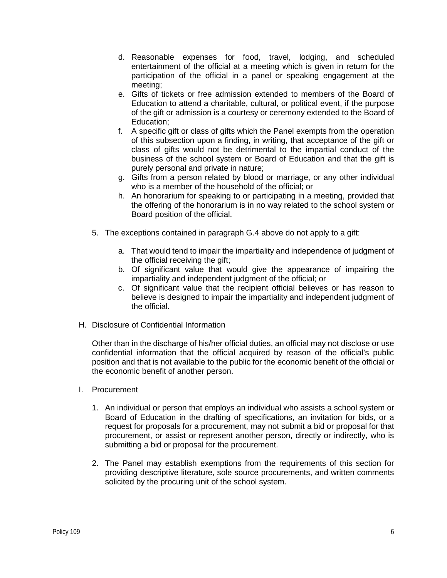- d. Reasonable expenses for food, travel, lodging, and scheduled entertainment of the official at a meeting which is given in return for the participation of the official in a panel or speaking engagement at the meeting;
- e. Gifts of tickets or free admission extended to members of the Board of Education to attend a charitable, cultural, or political event, if the purpose of the gift or admission is a courtesy or ceremony extended to the Board of Education;
- f. A specific gift or class of gifts which the Panel exempts from the operation of this subsection upon a finding, in writing, that acceptance of the gift or class of gifts would not be detrimental to the impartial conduct of the business of the school system or Board of Education and that the gift is purely personal and private in nature;
- g. Gifts from a person related by blood or marriage, or any other individual who is a member of the household of the official; or
- h. An honorarium for speaking to or participating in a meeting, provided that the offering of the honorarium is in no way related to the school system or Board position of the official.
- 5. The exceptions contained in paragraph G.4 above do not apply to a gift:
	- a. That would tend to impair the impartiality and independence of judgment of the official receiving the gift;
	- b. Of significant value that would give the appearance of impairing the impartiality and independent judgment of the official; or
	- c. Of significant value that the recipient official believes or has reason to believe is designed to impair the impartiality and independent judgment of the official.
- H. Disclosure of Confidential Information

Other than in the discharge of his/her official duties, an official may not disclose or use confidential information that the official acquired by reason of the official's public position and that is not available to the public for the economic benefit of the official or the economic benefit of another person.

- I. Procurement
	- 1. An individual or person that employs an individual who assists a school system or Board of Education in the drafting of specifications, an invitation for bids, or a request for proposals for a procurement, may not submit a bid or proposal for that procurement, or assist or represent another person, directly or indirectly, who is submitting a bid or proposal for the procurement.
	- 2. The Panel may establish exemptions from the requirements of this section for providing descriptive literature, sole source procurements, and written comments solicited by the procuring unit of the school system.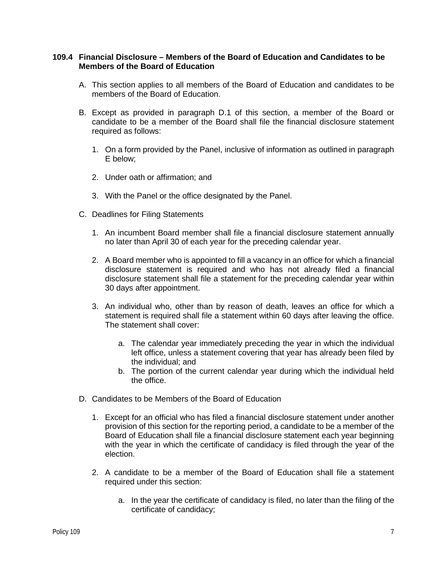## **109.4 Financial Disclosure – Members of the Board of Education and Candidates to be Members of the Board of Education**

- A. This section applies to all members of the Board of Education and candidates to be members of the Board of Education.
- B. Except as provided in paragraph D.1 of this section, a member of the Board or candidate to be a member of the Board shall file the financial disclosure statement required as follows:
	- 1. On a form provided by the Panel, inclusive of information as outlined in paragraph E below;
	- 2. Under oath or affirmation; and
	- 3. With the Panel or the office designated by the Panel.
- C. Deadlines for Filing Statements
	- 1. An incumbent Board member shall file a financial disclosure statement annually no later than April 30 of each year for the preceding calendar year.
	- 2. A Board member who is appointed to fill a vacancy in an office for which a financial disclosure statement is required and who has not already filed a financial disclosure statement shall file a statement for the preceding calendar year within 30 days after appointment.
	- 3. An individual who, other than by reason of death, leaves an office for which a statement is required shall file a statement within 60 days after leaving the office. The statement shall cover:
		- a. The calendar year immediately preceding the year in which the individual left office, unless a statement covering that year has already been filed by the individual; and
		- b. The portion of the current calendar year during which the individual held the office.
- D. Candidates to be Members of the Board of Education
	- 1. Except for an official who has filed a financial disclosure statement under another provision of this section for the reporting period, a candidate to be a member of the Board of Education shall file a financial disclosure statement each year beginning with the year in which the certificate of candidacy is filed through the year of the election.
	- 2. A candidate to be a member of the Board of Education shall file a statement required under this section:
		- a. In the year the certificate of candidacy is filed, no later than the filing of the certificate of candidacy;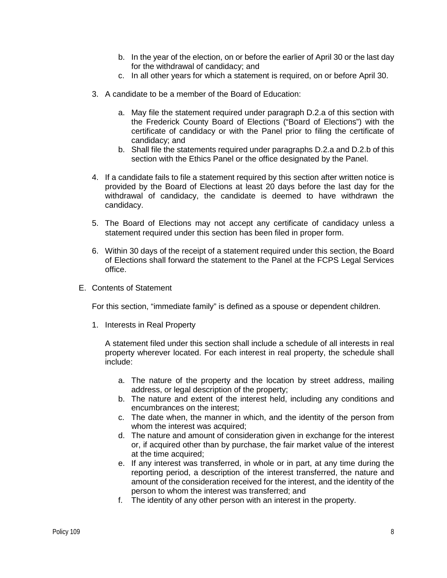- b. In the year of the election, on or before the earlier of April 30 or the last day for the withdrawal of candidacy; and
- c. In all other years for which a statement is required, on or before April 30.
- 3. A candidate to be a member of the Board of Education:
	- a. May file the statement required under paragraph D.2.a of this section with the Frederick County Board of Elections ("Board of Elections") with the certificate of candidacy or with the Panel prior to filing the certificate of candidacy; and
	- b. Shall file the statements required under paragraphs D.2.a and D.2.b of this section with the Ethics Panel or the office designated by the Panel.
- 4. If a candidate fails to file a statement required by this section after written notice is provided by the Board of Elections at least 20 days before the last day for the withdrawal of candidacy, the candidate is deemed to have withdrawn the candidacy.
- 5. The Board of Elections may not accept any certificate of candidacy unless a statement required under this section has been filed in proper form.
- 6. Within 30 days of the receipt of a statement required under this section, the Board of Elections shall forward the statement to the Panel at the FCPS Legal Services office.
- E. Contents of Statement

For this section, "immediate family" is defined as a spouse or dependent children.

1. Interests in Real Property

A statement filed under this section shall include a schedule of all interests in real property wherever located. For each interest in real property, the schedule shall include:

- a. The nature of the property and the location by street address, mailing address, or legal description of the property;
- b. The nature and extent of the interest held, including any conditions and encumbrances on the interest;
- c. The date when, the manner in which, and the identity of the person from whom the interest was acquired:
- d. The nature and amount of consideration given in exchange for the interest or, if acquired other than by purchase, the fair market value of the interest at the time acquired;
- e. If any interest was transferred, in whole or in part, at any time during the reporting period, a description of the interest transferred, the nature and amount of the consideration received for the interest, and the identity of the person to whom the interest was transferred; and
- f. The identity of any other person with an interest in the property.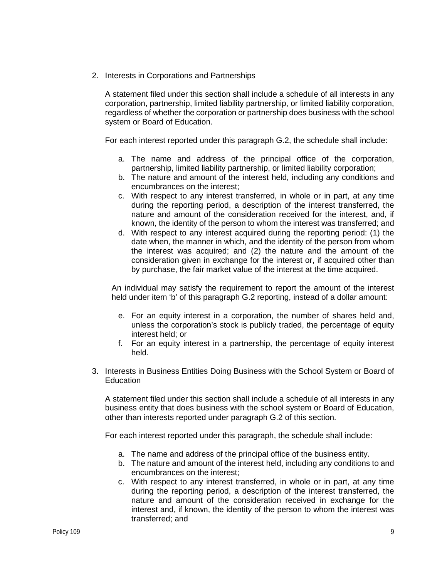2. Interests in Corporations and Partnerships

A statement filed under this section shall include a schedule of all interests in any corporation, partnership, limited liability partnership, or limited liability corporation, regardless of whether the corporation or partnership does business with the school system or Board of Education.

For each interest reported under this paragraph G.2, the schedule shall include:

- a. The name and address of the principal office of the corporation, partnership, limited liability partnership, or limited liability corporation;
- b. The nature and amount of the interest held, including any conditions and encumbrances on the interest;
- c. With respect to any interest transferred, in whole or in part, at any time during the reporting period, a description of the interest transferred, the nature and amount of the consideration received for the interest, and, if known, the identity of the person to whom the interest was transferred; and
- d. With respect to any interest acquired during the reporting period: (1) the date when, the manner in which, and the identity of the person from whom the interest was acquired; and (2) the nature and the amount of the consideration given in exchange for the interest or, if acquired other than by purchase, the fair market value of the interest at the time acquired.

An individual may satisfy the requirement to report the amount of the interest held under item 'b' of this paragraph G.2 reporting, instead of a dollar amount:

- e. For an equity interest in a corporation, the number of shares held and, unless the corporation's stock is publicly traded, the percentage of equity interest held; or
- f. For an equity interest in a partnership, the percentage of equity interest held.
- 3. Interests in Business Entities Doing Business with the School System or Board of **Education**

A statement filed under this section shall include a schedule of all interests in any business entity that does business with the school system or Board of Education, other than interests reported under paragraph G.2 of this section.

For each interest reported under this paragraph, the schedule shall include:

- a. The name and address of the principal office of the business entity.
- b. The nature and amount of the interest held, including any conditions to and encumbrances on the interest;
- c. With respect to any interest transferred, in whole or in part, at any time during the reporting period, a description of the interest transferred, the nature and amount of the consideration received in exchange for the interest and, if known, the identity of the person to whom the interest was transferred; and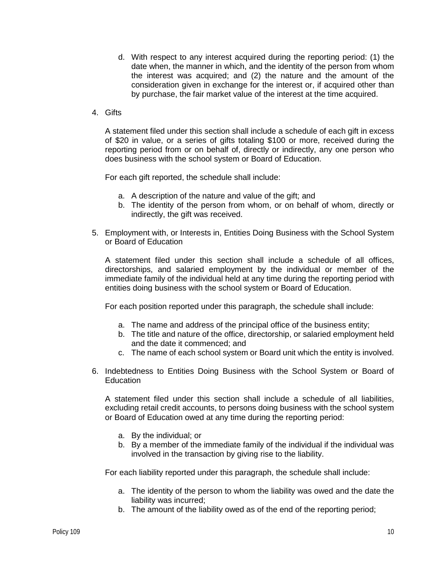- d. With respect to any interest acquired during the reporting period: (1) the date when, the manner in which, and the identity of the person from whom the interest was acquired; and (2) the nature and the amount of the consideration given in exchange for the interest or, if acquired other than by purchase, the fair market value of the interest at the time acquired.
- 4. Gifts

A statement filed under this section shall include a schedule of each gift in excess of \$20 in value, or a series of gifts totaling \$100 or more, received during the reporting period from or on behalf of, directly or indirectly, any one person who does business with the school system or Board of Education.

For each gift reported, the schedule shall include:

- a. A description of the nature and value of the gift; and
- b. The identity of the person from whom, or on behalf of whom, directly or indirectly, the gift was received.
- 5. Employment with, or Interests in, Entities Doing Business with the School System or Board of Education

A statement filed under this section shall include a schedule of all offices, directorships, and salaried employment by the individual or member of the immediate family of the individual held at any time during the reporting period with entities doing business with the school system or Board of Education.

For each position reported under this paragraph, the schedule shall include:

- a. The name and address of the principal office of the business entity;
- b. The title and nature of the office, directorship, or salaried employment held and the date it commenced; and
- c. The name of each school system or Board unit which the entity is involved.
- 6. Indebtedness to Entities Doing Business with the School System or Board of **Education**

A statement filed under this section shall include a schedule of all liabilities, excluding retail credit accounts, to persons doing business with the school system or Board of Education owed at any time during the reporting period:

- a. By the individual; or
- b. By a member of the immediate family of the individual if the individual was involved in the transaction by giving rise to the liability.

For each liability reported under this paragraph, the schedule shall include:

- a. The identity of the person to whom the liability was owed and the date the liability was incurred;
- b. The amount of the liability owed as of the end of the reporting period;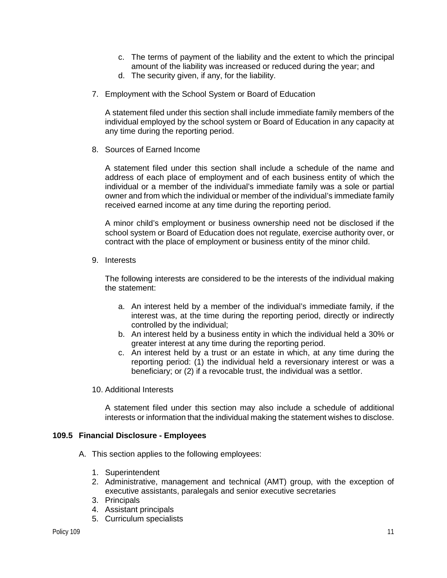- c. The terms of payment of the liability and the extent to which the principal amount of the liability was increased or reduced during the year; and
- d. The security given, if any, for the liability.
- 7. Employment with the School System or Board of Education

A statement filed under this section shall include immediate family members of the individual employed by the school system or Board of Education in any capacity at any time during the reporting period.

8. Sources of Earned Income

A statement filed under this section shall include a schedule of the name and address of each place of employment and of each business entity of which the individual or a member of the individual's immediate family was a sole or partial owner and from which the individual or member of the individual's immediate family received earned income at any time during the reporting period.

A minor child's employment or business ownership need not be disclosed if the school system or Board of Education does not regulate, exercise authority over, or contract with the place of employment or business entity of the minor child.

9. Interests

The following interests are considered to be the interests of the individual making the statement:

- a. An interest held by a member of the individual's immediate family, if the interest was, at the time during the reporting period, directly or indirectly controlled by the individual;
- b. An interest held by a business entity in which the individual held a 30% or greater interest at any time during the reporting period.
- c. An interest held by a trust or an estate in which, at any time during the reporting period: (1) the individual held a reversionary interest or was a beneficiary; or (2) if a revocable trust, the individual was a settlor.
- 10. Additional Interests

A statement filed under this section may also include a schedule of additional interests or information that the individual making the statement wishes to disclose.

## **109.5 Financial Disclosure - Employees**

- A. This section applies to the following employees:
	- 1. Superintendent
	- 2. Administrative, management and technical (AMT) group, with the exception of executive assistants, paralegals and senior executive secretaries
	- 3. Principals
	- 4. Assistant principals
	- 5. Curriculum specialists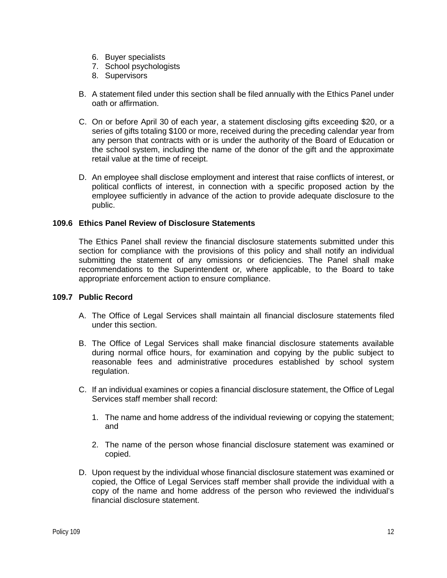- 6. Buyer specialists
- 7. School psychologists
- 8. Supervisors
- B. A statement filed under this section shall be filed annually with the Ethics Panel under oath or affirmation.
- C. On or before April 30 of each year, a statement disclosing gifts exceeding \$20, or a series of gifts totaling \$100 or more, received during the preceding calendar year from any person that contracts with or is under the authority of the Board of Education or the school system, including the name of the donor of the gift and the approximate retail value at the time of receipt.
- D. An employee shall disclose employment and interest that raise conflicts of interest, or political conflicts of interest, in connection with a specific proposed action by the employee sufficiently in advance of the action to provide adequate disclosure to the public.

# **109.6 Ethics Panel Review of Disclosure Statements**

The Ethics Panel shall review the financial disclosure statements submitted under this section for compliance with the provisions of this policy and shall notify an individual submitting the statement of any omissions or deficiencies. The Panel shall make recommendations to the Superintendent or, where applicable, to the Board to take appropriate enforcement action to ensure compliance.

# **109.7 Public Record**

- A. The Office of Legal Services shall maintain all financial disclosure statements filed under this section.
- B. The Office of Legal Services shall make financial disclosure statements available during normal office hours, for examination and copying by the public subject to reasonable fees and administrative procedures established by school system regulation.
- C. If an individual examines or copies a financial disclosure statement, the Office of Legal Services staff member shall record:
	- 1. The name and home address of the individual reviewing or copying the statement; and
	- 2. The name of the person whose financial disclosure statement was examined or copied.
- D. Upon request by the individual whose financial disclosure statement was examined or copied, the Office of Legal Services staff member shall provide the individual with a copy of the name and home address of the person who reviewed the individual's financial disclosure statement.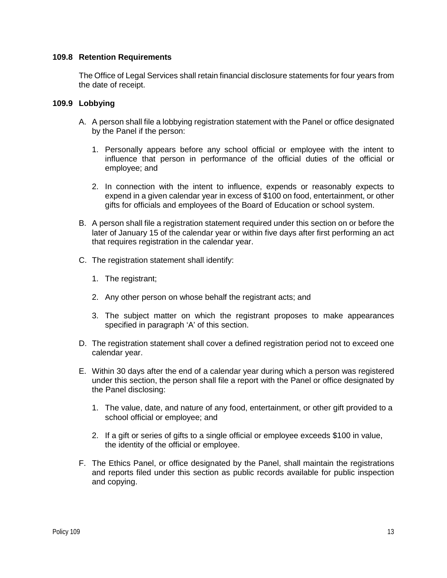## **109.8 Retention Requirements**

The Office of Legal Services shall retain financial disclosure statements for four years from the date of receipt.

## **109.9 Lobbying**

- A. A person shall file a lobbying registration statement with the Panel or office designated by the Panel if the person:
	- 1. Personally appears before any school official or employee with the intent to influence that person in performance of the official duties of the official or employee; and
	- 2. In connection with the intent to influence, expends or reasonably expects to expend in a given calendar year in excess of \$100 on food, entertainment, or other gifts for officials and employees of the Board of Education or school system.
- B. A person shall file a registration statement required under this section on or before the later of January 15 of the calendar year or within five days after first performing an act that requires registration in the calendar year.
- C. The registration statement shall identify:
	- 1. The registrant;
	- 2. Any other person on whose behalf the registrant acts; and
	- 3. The subject matter on which the registrant proposes to make appearances specified in paragraph 'A' of this section.
- D. The registration statement shall cover a defined registration period not to exceed one calendar year.
- E. Within 30 days after the end of a calendar year during which a person was registered under this section, the person shall file a report with the Panel or office designated by the Panel disclosing:
	- 1. The value, date, and nature of any food, entertainment, or other gift provided to a school official or employee; and
	- 2. If a gift or series of gifts to a single official or employee exceeds \$100 in value, the identity of the official or employee.
- F. The Ethics Panel, or office designated by the Panel, shall maintain the registrations and reports filed under this section as public records available for public inspection and copying.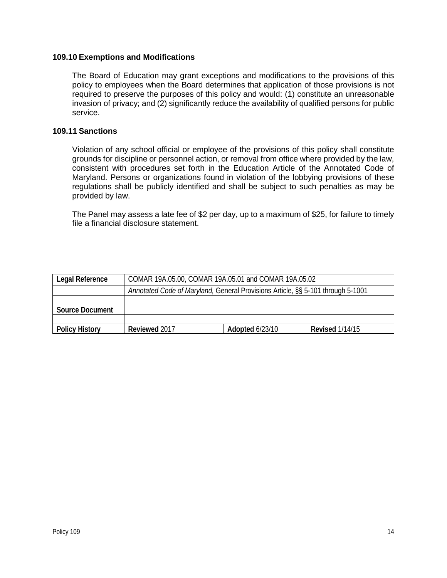## **109.10 Exemptions and Modifications**

The Board of Education may grant exceptions and modifications to the provisions of this policy to employees when the Board determines that application of those provisions is not required to preserve the purposes of this policy and would: (1) constitute an unreasonable invasion of privacy; and (2) significantly reduce the availability of qualified persons for public service.

## **109.11 Sanctions**

Violation of any school official or employee of the provisions of this policy shall constitute grounds for discipline or personnel action, or removal from office where provided by the law, consistent with procedures set forth in the Education Article of the Annotated Code of Maryland. Persons or organizations found in violation of the lobbying provisions of these regulations shall be publicly identified and shall be subject to such penalties as may be provided by law.

The Panel may assess a late fee of \$2 per day, up to a maximum of \$25, for failure to timely file a financial disclosure statement.

| <b>Legal Reference</b> | COMAR 19A.05.00, COMAR 19A.05.01 and COMAR 19A.05.02                            |                 |                        |  |
|------------------------|---------------------------------------------------------------------------------|-----------------|------------------------|--|
|                        | Annotated Code of Maryland, General Provisions Article, §§ 5-101 through 5-1001 |                 |                        |  |
|                        |                                                                                 |                 |                        |  |
| Source Document        |                                                                                 |                 |                        |  |
|                        |                                                                                 |                 |                        |  |
| <b>Policy History</b>  | Reviewed 2017                                                                   | Adopted 6/23/10 | <b>Revised 1/14/15</b> |  |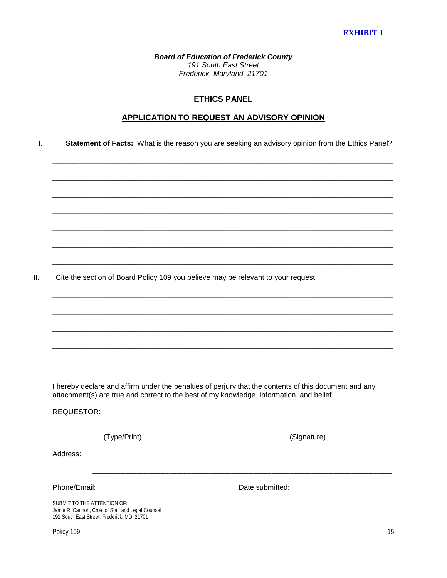*Board of Education of Frederick County 191 South East Street Frederick, Maryland 21701*

#### **ETHICS PANEL**

#### **APPLICATION TO REQUEST AN ADVISORY OPINION**

\_\_\_\_\_\_\_\_\_\_\_\_\_\_\_\_\_\_\_\_\_\_\_\_\_\_\_\_\_\_\_\_\_\_\_\_\_\_\_\_\_\_\_\_\_\_\_\_\_\_\_\_\_\_\_\_\_\_\_\_\_\_\_\_\_\_\_\_\_\_\_\_\_\_\_\_\_\_\_\_\_\_\_\_

\_\_\_\_\_\_\_\_\_\_\_\_\_\_\_\_\_\_\_\_\_\_\_\_\_\_\_\_\_\_\_\_\_\_\_\_\_\_\_\_\_\_\_\_\_\_\_\_\_\_\_\_\_\_\_\_\_\_\_\_\_\_\_\_\_\_\_\_\_\_\_\_\_\_\_\_\_\_\_\_\_\_\_\_

\_\_\_\_\_\_\_\_\_\_\_\_\_\_\_\_\_\_\_\_\_\_\_\_\_\_\_\_\_\_\_\_\_\_\_\_\_\_\_\_\_\_\_\_\_\_\_\_\_\_\_\_\_\_\_\_\_\_\_\_\_\_\_\_\_\_\_\_\_\_\_\_\_\_\_\_\_\_\_\_\_\_\_\_

\_\_\_\_\_\_\_\_\_\_\_\_\_\_\_\_\_\_\_\_\_\_\_\_\_\_\_\_\_\_\_\_\_\_\_\_\_\_\_\_\_\_\_\_\_\_\_\_\_\_\_\_\_\_\_\_\_\_\_\_\_\_\_\_\_\_\_\_\_\_\_\_\_\_\_\_\_\_\_\_\_\_\_\_

\_\_\_\_\_\_\_\_\_\_\_\_\_\_\_\_\_\_\_\_\_\_\_\_\_\_\_\_\_\_\_\_\_\_\_\_\_\_\_\_\_\_\_\_\_\_\_\_\_\_\_\_\_\_\_\_\_\_\_\_\_\_\_\_\_\_\_\_\_\_\_\_\_\_\_\_\_\_\_\_\_\_\_\_

\_\_\_\_\_\_\_\_\_\_\_\_\_\_\_\_\_\_\_\_\_\_\_\_\_\_\_\_\_\_\_\_\_\_\_\_\_\_\_\_\_\_\_\_\_\_\_\_\_\_\_\_\_\_\_\_\_\_\_\_\_\_\_\_\_\_\_\_\_\_\_\_\_\_\_\_\_\_\_\_\_\_\_\_

\_\_\_\_\_\_\_\_\_\_\_\_\_\_\_\_\_\_\_\_\_\_\_\_\_\_\_\_\_\_\_\_\_\_\_\_\_\_\_\_\_\_\_\_\_\_\_\_\_\_\_\_\_\_\_\_\_\_\_\_\_\_\_\_\_\_\_\_\_\_\_\_\_\_\_\_\_\_\_\_\_\_\_\_

\_\_\_\_\_\_\_\_\_\_\_\_\_\_\_\_\_\_\_\_\_\_\_\_\_\_\_\_\_\_\_\_\_\_\_\_\_\_\_\_\_\_\_\_\_\_\_\_\_\_\_\_\_\_\_\_\_\_\_\_\_\_\_\_\_\_\_\_\_\_\_\_\_\_\_\_\_\_\_\_\_\_\_\_

\_\_\_\_\_\_\_\_\_\_\_\_\_\_\_\_\_\_\_\_\_\_\_\_\_\_\_\_\_\_\_\_\_\_\_\_\_\_\_\_\_\_\_\_\_\_\_\_\_\_\_\_\_\_\_\_\_\_\_\_\_\_\_\_\_\_\_\_\_\_\_\_\_\_\_\_\_\_\_\_\_\_\_\_

\_\_\_\_\_\_\_\_\_\_\_\_\_\_\_\_\_\_\_\_\_\_\_\_\_\_\_\_\_\_\_\_\_\_\_\_\_\_\_\_\_\_\_\_\_\_\_\_\_\_\_\_\_\_\_\_\_\_\_\_\_\_\_\_\_\_\_\_\_\_\_\_\_\_\_\_\_\_\_\_\_\_\_\_

\_\_\_\_\_\_\_\_\_\_\_\_\_\_\_\_\_\_\_\_\_\_\_\_\_\_\_\_\_\_\_\_\_\_\_\_\_\_\_\_\_\_\_\_\_\_\_\_\_\_\_\_\_\_\_\_\_\_\_\_\_\_\_\_\_\_\_\_\_\_\_\_\_\_\_\_\_\_\_\_\_\_\_\_

\_\_\_\_\_\_\_\_\_\_\_\_\_\_\_\_\_\_\_\_\_\_\_\_\_\_\_\_\_\_\_\_\_\_\_\_\_\_\_\_\_\_\_\_\_\_\_\_\_\_\_\_\_\_\_\_\_\_\_\_\_\_\_\_\_\_\_\_\_\_\_\_\_\_\_\_\_\_\_\_\_\_\_\_

I. **Statement of Facts:** What is the reason you are seeking an advisory opinion from the Ethics Panel?

II. Cite the section of Board Policy 109 you believe may be relevant to your request.

I hereby declare and affirm under the penalties of perjury that the contents of this document and any attachment(s) are true and correct to the best of my knowledge, information, and belief.

REQUESTOR:

\_\_\_\_\_\_\_\_\_\_\_\_\_\_\_\_\_\_\_\_\_\_\_\_\_\_\_\_\_\_\_\_\_\_\_\_\_ \_\_\_\_\_\_\_\_\_\_\_\_\_\_\_\_\_\_\_\_\_\_\_\_\_\_\_\_\_\_\_\_\_\_\_\_\_\_ (Type/Print) (Signature) Address: \_\_\_\_\_\_\_\_\_\_\_\_\_\_\_\_\_\_\_\_\_\_\_\_\_\_\_\_\_\_\_\_\_\_\_\_\_\_\_\_\_\_\_\_\_\_\_\_\_\_\_\_\_\_\_\_\_\_\_\_\_\_\_\_\_\_\_\_\_\_\_\_\_\_\_\_\_\_\_\_\_\_ \_\_\_\_\_\_\_\_\_\_\_\_\_\_\_\_\_\_\_\_\_\_\_\_\_\_\_\_\_\_\_\_\_\_\_\_\_\_\_\_\_\_\_\_\_\_\_\_\_\_\_\_\_\_\_\_\_\_\_\_\_\_\_\_\_\_\_\_\_\_\_\_\_\_\_\_\_\_\_\_\_\_ Phone/Email: \_\_\_\_\_\_\_\_\_\_\_\_\_\_\_\_\_\_\_\_\_\_\_\_\_\_\_\_\_ Date submitted: \_\_\_\_\_\_\_\_\_\_\_\_\_\_\_\_\_\_\_\_\_\_\_\_ SUBMIT TO THE ATTENTION OF: Jamie R. Cannon, Chief of Staff and Legal Counsel

Policy 109 15

191 South East Street, Frederick, MD 21701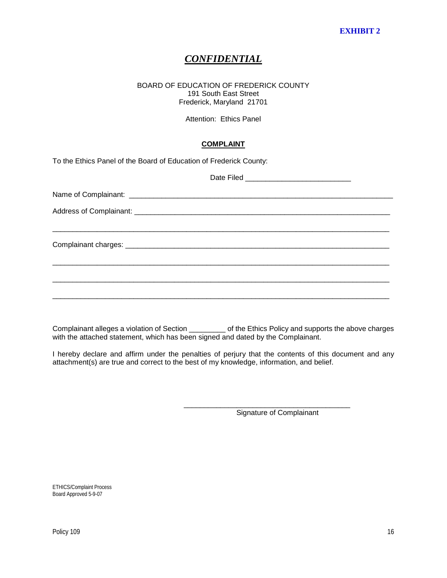# *CONFIDENTIAL*

#### BOARD OF EDUCATION OF FREDERICK COUNTY 191 South East Street Frederick, Maryland 21701

Attention: Ethics Panel

# **COMPLAINT**

To the Ethics Panel of the Board of Education of Frederick County:

Complainant alleges a violation of Section \_\_\_\_\_\_\_\_\_ of the Ethics Policy and supports the above charges with the attached statement, which has been signed and dated by the Complainant.

I hereby declare and affirm under the penalties of perjury that the contents of this document and any attachment(s) are true and correct to the best of my knowledge, information, and belief.

Signature of Complainant

\_\_\_\_\_\_\_\_\_\_\_\_\_\_\_\_\_\_\_\_\_\_\_\_\_\_\_\_\_\_\_\_\_\_\_\_\_\_\_\_\_

ETHICS/Complaint Process Board Approved 5-9-07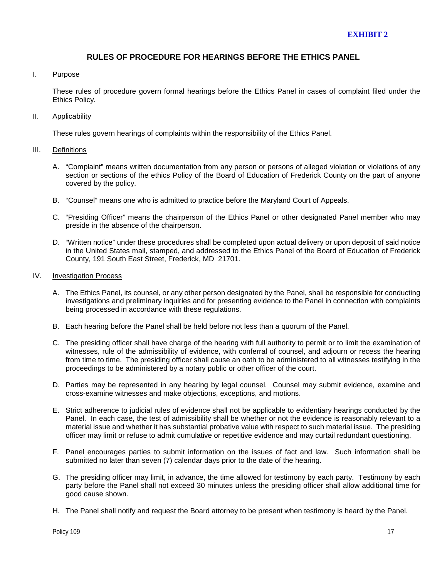## **RULES OF PROCEDURE FOR HEARINGS BEFORE THE ETHICS PANEL**

#### I. Purpose

These rules of procedure govern formal hearings before the Ethics Panel in cases of complaint filed under the Ethics Policy.

#### II. Applicability

These rules govern hearings of complaints within the responsibility of the Ethics Panel.

#### III. Definitions

- A. "Complaint" means written documentation from any person or persons of alleged violation or violations of any section or sections of the ethics Policy of the Board of Education of Frederick County on the part of anyone covered by the policy.
- B. "Counsel" means one who is admitted to practice before the Maryland Court of Appeals.
- C. "Presiding Officer" means the chairperson of the Ethics Panel or other designated Panel member who may preside in the absence of the chairperson.
- D. "Written notice" under these procedures shall be completed upon actual delivery or upon deposit of said notice in the United States mail, stamped, and addressed to the Ethics Panel of the Board of Education of Frederick County, 191 South East Street, Frederick, MD 21701.

#### IV. Investigation Process

- A. The Ethics Panel, its counsel, or any other person designated by the Panel, shall be responsible for conducting investigations and preliminary inquiries and for presenting evidence to the Panel in connection with complaints being processed in accordance with these regulations.
- B. Each hearing before the Panel shall be held before not less than a quorum of the Panel.
- C. The presiding officer shall have charge of the hearing with full authority to permit or to limit the examination of witnesses, rule of the admissibility of evidence, with conferral of counsel, and adjourn or recess the hearing from time to time. The presiding officer shall cause an oath to be administered to all witnesses testifying in the proceedings to be administered by a notary public or other officer of the court.
- D. Parties may be represented in any hearing by legal counsel. Counsel may submit evidence, examine and cross-examine witnesses and make objections, exceptions, and motions.
- E. Strict adherence to judicial rules of evidence shall not be applicable to evidentiary hearings conducted by the Panel. In each case, the test of admissibility shall be whether or not the evidence is reasonably relevant to a material issue and whether it has substantial probative value with respect to such material issue. The presiding officer may limit or refuse to admit cumulative or repetitive evidence and may curtail redundant questioning.
- F. Panel encourages parties to submit information on the issues of fact and law. Such information shall be submitted no later than seven (7) calendar days prior to the date of the hearing.
- G. The presiding officer may limit, in advance, the time allowed for testimony by each party. Testimony by each party before the Panel shall not exceed 30 minutes unless the presiding officer shall allow additional time for good cause shown.
- H. The Panel shall notify and request the Board attorney to be present when testimony is heard by the Panel.